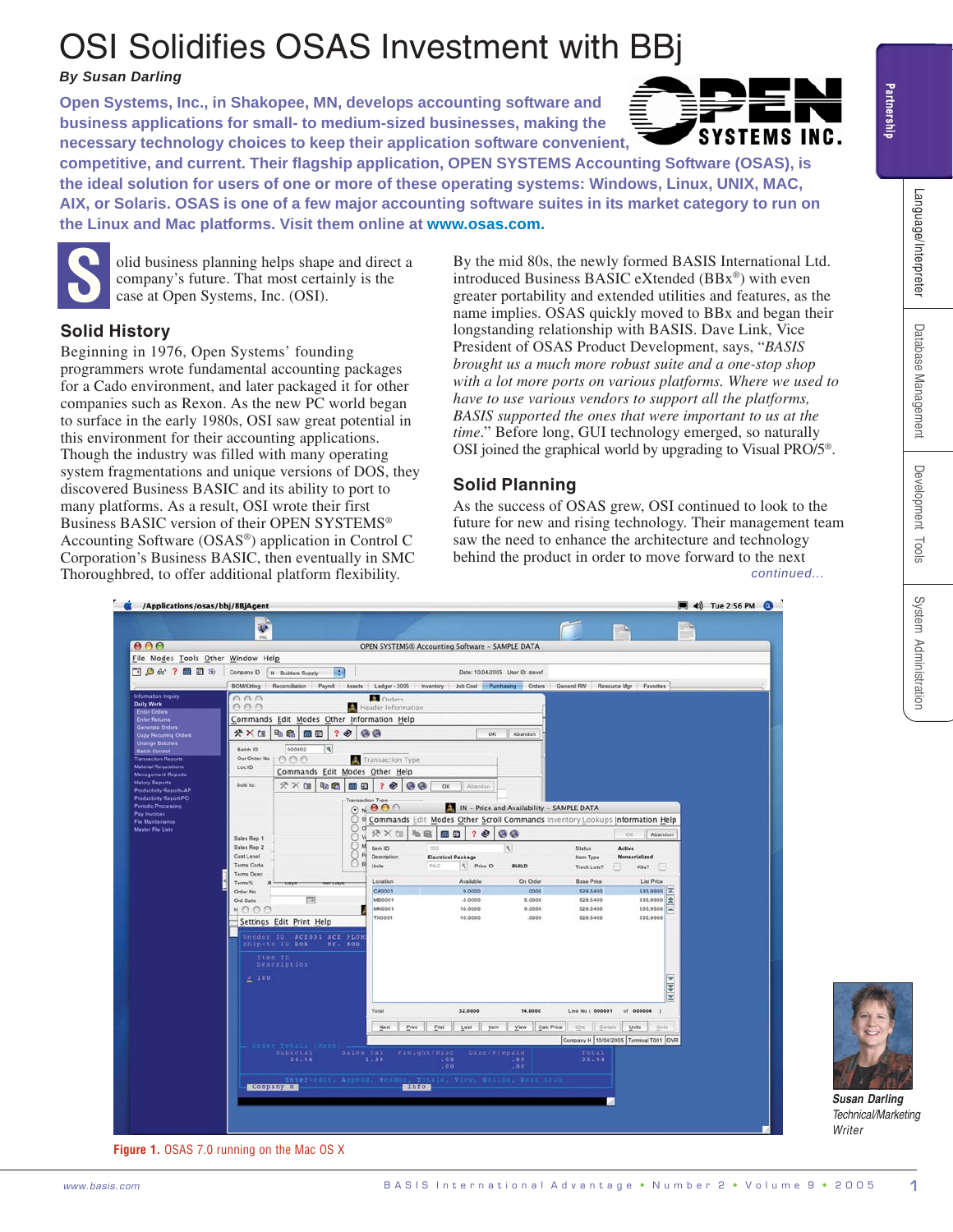# OSI Solidifies OSAS Investment wit[h BBj](http://www.osas.com/html/7ZE16RR4S4.htm)

## *By Susan Darling*

**Open Systems, Inc., in Shakopee, MN, develops accounting software and business applications for small- to medium-sized businesses, making the necessary technology choices to keep their application software convenie[nt,](http://www.osas.com/html/7ZE16RR4S4.htm)**



**competitive, and current. Their flagship application, OPEN SYSTEMS Accounting Software (OSAS), is the ideal solution for users of one or more of these operating systems: Windows, Linux, UNIX, MAC, AIX, or Solaris. OSAS is one of a few major accounting software suites in its market category to run on the Linux and Mac platforms. Visit them online at [www.osas.com.](http://www.osas.com/html/7ZE16RR4S4.htm)**



**S** olid business planning helps shape and direct a company's future. That most certainly is the case at Open Systems, Inc. (OSI).

## **Solid History**

Beginning in 1976, Open Systems' founding programmers wrote fundamental accounting packages for a Cado environment, and later packaged it for other companies such as Rexon. As the new PC world began to surface in the early 1980s, OSI saw great potential in this environment for their accounting applications. Though the industry was filled with many operating system fragmentations and unique versions of DOS, they discovered Business BASIC and its ability to port to many platforms. As a result, OSI wrote their first Business BASIC version of their OPEN SYSTEMS® Accounting Software (OSAS®) application in Control C Corporation's Business BASIC, then eventually in SMC Thoroughbred, to offer additional platform flexibility.

By the mid 80s, the newly formed BASIS International Ltd. introduced Business BASIC eXtended (BBx®) with even greater portability and extended utilities and features, as the name implies. OSAS quickly moved to BBx and began their longstanding relationship with BASIS. Dave Link, Vice President of OSAS Product Development, says, "*BASIS brought us a much more robust suite and a one-stop shop with a lot more ports on various platforms. Where we used to have to use various vendors to support all the platforms, BASIS supported the ones that were important to us at the time*." Before long, GUI technology emerged, so naturally OSI joined the graphical world by upgrading to Visual PRO/5®.

# **Solid Planning**

*continued...* As the success of OSAS grew, OSI continued to look to the future for new and rising technology. Their management team saw the need to enhance the architecture and technology behind the product in order to move forward to the next



**Figure 1.** OSAS 7.0 running on the Mac OS X



*Susan Darling Technical/Marketing Writer*